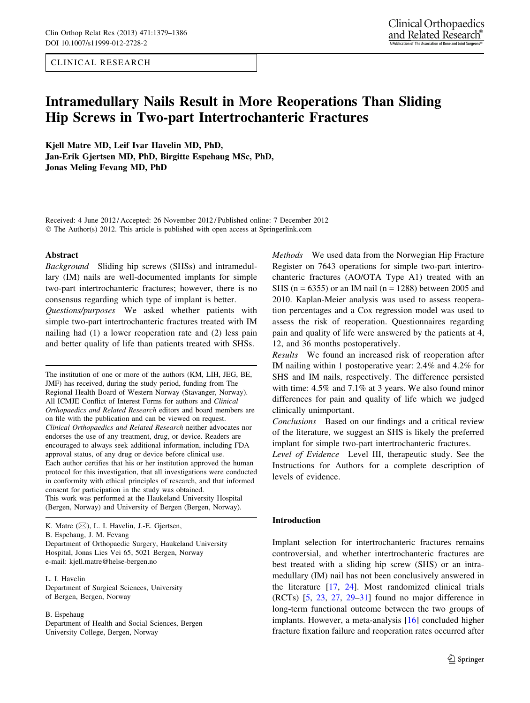CLINICAL RESEARCH

# Intramedullary Nails Result in More Reoperations Than Sliding Hip Screws in Two-part Intertrochanteric Fractures

Kjell Matre MD, Leif Ivar Havelin MD, PhD, Jan-Erik Gjertsen MD, PhD, Birgitte Espehaug MSc, PhD, Jonas Meling Fevang MD, PhD

Received: 4 June 2012 / Accepted: 26 November 2012 / Published online: 7 December 2012 © The Author(s) 2012. This article is published with open access at Springerlink.com

#### Abstract

Background Sliding hip screws (SHSs) and intramedullary (IM) nails are well-documented implants for simple two-part intertrochanteric fractures; however, there is no consensus regarding which type of implant is better. Questions/purposes We asked whether patients with simple two-part intertrochanteric fractures treated with IM nailing had (1) a lower reoperation rate and (2) less pain and better quality of life than patients treated with SHSs.

The institution of one or more of the authors (KM, LIH, JEG, BE, JMF) has received, during the study period, funding from The Regional Health Board of Western Norway (Stavanger, Norway). All ICMJE Conflict of Interest Forms for authors and Clinical Orthopaedics and Related Research editors and board members are on file with the publication and can be viewed on request. Clinical Orthopaedics and Related Research neither advocates nor endorses the use of any treatment, drug, or device. Readers are encouraged to always seek additional information, including FDA approval status, of any drug or device before clinical use. Each author certifies that his or her institution approved the human protocol for this investigation, that all investigations were conducted in conformity with ethical principles of research, and that informed consent for participation in the study was obtained. This work was performed at the Haukeland University Hospital (Bergen, Norway) and University of Bergen (Bergen, Norway).

K. Matre  $(\boxtimes)$ , L. I. Havelin, J.-E. Gjertsen, B. Espehaug, J. M. Fevang Department of Orthopaedic Surgery, Haukeland University Hospital, Jonas Lies Vei 65, 5021 Bergen, Norway e-mail: kjell.matre@helse-bergen.no

L. I. Havelin Department of Surgical Sciences, University of Bergen, Bergen, Norway

#### B. Espehaug

Department of Health and Social Sciences, Bergen University College, Bergen, Norway

Methods We used data from the Norwegian Hip Fracture Register on 7643 operations for simple two-part intertrochanteric fractures (AO/OTA Type A1) treated with an SHS ( $n = 6355$ ) or an IM nail ( $n = 1288$ ) between 2005 and 2010. Kaplan-Meier analysis was used to assess reoperation percentages and a Cox regression model was used to assess the risk of reoperation. Questionnaires regarding pain and quality of life were answered by the patients at 4, 12, and 36 months postoperatively.

Results We found an increased risk of reoperation after IM nailing within 1 postoperative year: 2.4% and 4.2% for SHS and IM nails, respectively. The difference persisted with time: 4.5% and 7.1% at 3 years. We also found minor differences for pain and quality of life which we judged clinically unimportant.

Conclusions Based on our findings and a critical review of the literature, we suggest an SHS is likely the preferred implant for simple two-part intertrochanteric fractures.

Level of Evidence Level III, therapeutic study. See the Instructions for Authors for a complete description of levels of evidence.

# Introduction

Implant selection for intertrochanteric fractures remains controversial, and whether intertrochanteric fractures are best treated with a sliding hip screw (SHS) or an intramedullary (IM) nail has not been conclusively answered in the literature [[17,](#page-7-0) [24\]](#page-7-0). Most randomized clinical trials (RCTs) [[5,](#page-7-0) [23,](#page-7-0) [27](#page-7-0), [29–31](#page-7-0)] found no major difference in long-term functional outcome between the two groups of implants. However, a meta-analysis [[16\]](#page-7-0) concluded higher fracture fixation failure and reoperation rates occurred after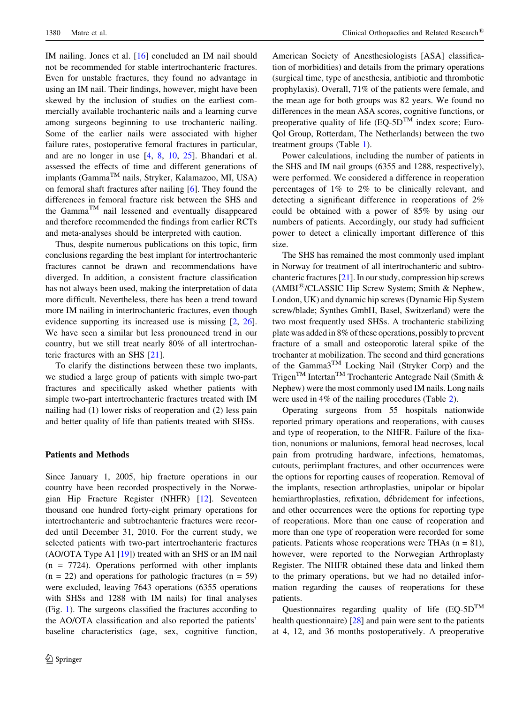IM nailing. Jones et al. [[16\]](#page-7-0) concluded an IM nail should not be recommended for stable intertrochanteric fractures. Even for unstable fractures, they found no advantage in using an IM nail. Their findings, however, might have been skewed by the inclusion of studies on the earliest commercially available trochanteric nails and a learning curve among surgeons beginning to use trochanteric nailing. Some of the earlier nails were associated with higher failure rates, postoperative femoral fractures in particular, and are no longer in use [[4,](#page-7-0) [8,](#page-7-0) [10,](#page-7-0) [25\]](#page-7-0). Bhandari et al. assessed the effects of time and different generations of implants (Gamma<sup>TM</sup> nails, Stryker, Kalamazoo, MI, USA) on femoral shaft fractures after nailing [[6\]](#page-7-0). They found the differences in femoral fracture risk between the SHS and the GammaTM nail lessened and eventually disappeared and therefore recommended the findings from earlier RCTs and meta-analyses should be interpreted with caution.

Thus, despite numerous publications on this topic, firm conclusions regarding the best implant for intertrochanteric fractures cannot be drawn and recommendations have diverged. In addition, a consistent fracture classification has not always been used, making the interpretation of data more difficult. Nevertheless, there has been a trend toward more IM nailing in intertrochanteric fractures, even though evidence supporting its increased use is missing [[2,](#page-6-0) [26](#page-7-0)]. We have seen a similar but less pronounced trend in our country, but we still treat nearly 80% of all intertrochanteric fractures with an SHS [\[21](#page-7-0)].

To clarify the distinctions between these two implants, we studied a large group of patients with simple two-part fractures and specifically asked whether patients with simple two-part intertrochanteric fractures treated with IM nailing had (1) lower risks of reoperation and (2) less pain and better quality of life than patients treated with SHSs.

#### Patients and Methods

Since January 1, 2005, hip fracture operations in our country have been recorded prospectively in the Norwegian Hip Fracture Register (NHFR) [[12\]](#page-7-0). Seventeen thousand one hundred forty-eight primary operations for intertrochanteric and subtrochanteric fractures were recorded until December 31, 2010. For the current study, we selected patients with two-part intertrochanteric fractures (AO/OTA Type A1 [\[19](#page-7-0)]) treated with an SHS or an IM nail  $(n = 7724)$ . Operations performed with other implants  $(n = 22)$  and operations for pathologic fractures  $(n = 59)$ were excluded, leaving 7643 operations (6355 operations with SHSs and 1288 with IM nails) for final analyses (Fig. [1](#page-2-0)). The surgeons classified the fractures according to the AO/OTA classification and also reported the patients' baseline characteristics (age, sex, cognitive function,

American Society of Anesthesiologists [ASA] classification of morbidities) and details from the primary operations (surgical time, type of anesthesia, antibiotic and thrombotic prophylaxis). Overall, 71% of the patients were female, and the mean age for both groups was 82 years. We found no differences in the mean ASA scores, cognitive functions, or preoperative quality of life  $(EQ-5D<sup>TM</sup>$  index score; Euro-Qol Group, Rotterdam, The Netherlands) between the two treatment groups (Table [1](#page-3-0)).

Power calculations, including the number of patients in the SHS and IM nail groups (6355 and 1288, respectively), were performed. We considered a difference in reoperation percentages of 1% to 2% to be clinically relevant, and detecting a significant difference in reoperations of 2% could be obtained with a power of 85% by using our numbers of patients. Accordingly, our study had sufficient power to detect a clinically important difference of this size.

The SHS has remained the most commonly used implant in Norway for treatment of all intertrochanteric and subtrochanteric fractures [[21\]](#page-7-0). In our study, compression hip screws  $(AMBI^{\text{\tiny (B)}/CLASSIC}$  Hip Screw System; Smith & Nephew, London, UK) and dynamic hip screws (Dynamic Hip System screw/blade; Synthes GmbH, Basel, Switzerland) were the two most frequently used SHSs. A trochanteric stabilizing plate was added in 8% of these operations, possibly to prevent fracture of a small and osteoporotic lateral spike of the trochanter at mobilization. The second and third generations of the Gamma3TM Locking Nail (Stryker Corp) and the Trigen<sup>TM</sup> Intertan<sup>TM</sup> Trochanteric Antegrade Nail (Smith & Nephew) were the most commonly used IM nails. Long nails were used in 4% of the nailing procedures (Table [2\)](#page-3-0).

Operating surgeons from 55 hospitals nationwide reported primary operations and reoperations, with causes and type of reoperation, to the NHFR. Failure of the fixation, nonunions or malunions, femoral head necroses, local pain from protruding hardware, infections, hematomas, cutouts, periimplant fractures, and other occurrences were the options for reporting causes of reoperation. Removal of the implants, resection arthroplasties, unipolar or bipolar hemiarthroplasties, refixation, débridement for infections, and other occurrences were the options for reporting type of reoperations. More than one cause of reoperation and more than one type of reoperation were recorded for some patients. Patients whose reoperations were THAs  $(n = 81)$ , however, were reported to the Norwegian Arthroplasty Register. The NHFR obtained these data and linked them to the primary operations, but we had no detailed information regarding the causes of reoperations for these patients.

Questionnaires regarding quality of life  $(EQ-5D<sup>TM</sup>)$ health questionnaire) [[28\]](#page-7-0) and pain were sent to the patients at 4, 12, and 36 months postoperatively. A preoperative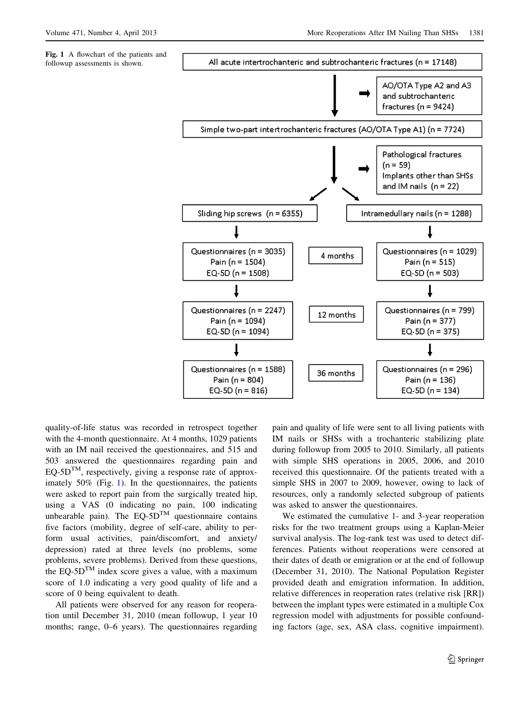followup assessments is shown.

<span id="page-2-0"></span>

quality-of-life status was recorded in retrospect together with the 4-month questionnaire. At 4 months, 1029 patients with an IM nail received the questionnaires, and 515 and 503 answered the questionnaires regarding pain and  $EQ-5D^{TM}$ , respectively, giving a response rate of approximately 50% (Fig. 1). In the questionnaires, the patients were asked to report pain from the surgically treated hip, using a VAS (0 indicating no pain, 100 indicating unbearable pain). The  $EO-5D^{TM}$  questionnaire contains five factors (mobility, degree of self-care, ability to perform usual activities, pain/discomfort, and anxiety/ depression) rated at three levels (no problems, some problems, severe problems). Derived from these questions, the EQ-5D<sup>TM</sup> index score gives a value, with a maximum score of 1.0 indicating a very good quality of life and a score of 0 being equivalent to death.

All patients were observed for any reason for reoperation until December 31, 2010 (mean followup, 1 year 10 months; range, 0–6 years). The questionnaires regarding pain and quality of life were sent to all living patients with IM nails or SHSs with a trochanteric stabilizing plate during followup from 2005 to 2010. Similarly, all patients with simple SHS operations in 2005, 2006, and 2010 received this questionnaire. Of the patients treated with a simple SHS in 2007 to 2009, however, owing to lack of resources, only a randomly selected subgroup of patients was asked to answer the questionnaires.

We estimated the cumulative 1- and 3-year reoperation risks for the two treatment groups using a Kaplan-Meier survival analysis. The log-rank test was used to detect differences. Patients without reoperations were censored at their dates of death or emigration or at the end of followup (December 31, 2010). The National Population Register provided death and emigration information. In addition, relative differences in reoperation rates (relative risk [RR]) between the implant types were estimated in a multiple Cox regression model with adjustments for possible confounding factors (age, sex, ASA class, cognitive impairment).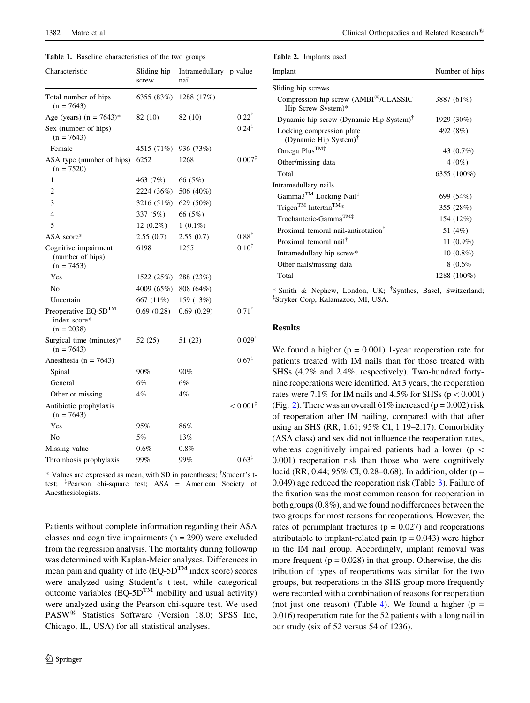<span id="page-3-0"></span>Table 1. Baseline characteristics of the two groups

| Characteristic                                                   | Sliding hip<br>screw | Intramedullary p value<br>nail |                      |
|------------------------------------------------------------------|----------------------|--------------------------------|----------------------|
| Total number of hips<br>$(n = 7643)$                             | 6355 (83%)           | 1288 (17%)                     |                      |
| Age (years) $(n = 7643)^*$                                       | 82 (10)              | 82 (10)                        | $0.22^{\dagger}$     |
| Sex (number of hips)<br>$(n = 7643)$                             |                      |                                | $0.24^{\ddagger}$    |
| Female                                                           | 4515 (71%)           | 936 (73%)                      |                      |
| ASA type (number of hips)<br>$(n = 7520)$                        | 6252                 | 1268                           | $0.007^{\ddagger}$   |
| 1                                                                | 463 (7%)             | 66 (5%)                        |                      |
| 2                                                                | 2224 (36%)           | 506 (40%)                      |                      |
| 3                                                                | 3216 (51%)           | 629 (50%)                      |                      |
| $\overline{4}$                                                   | 337 (5%)             | 66 (5%)                        |                      |
| 5                                                                | $12(0.2\%)$          | $1(0.1\%)$                     |                      |
| $ASA$ score $*$                                                  | 2.55(0.7)            | 2.55(0.7)                      | $0.88^{\dagger}$     |
| Cognitive impairment<br>(number of hips)<br>$(n = 7453)$         | 6198                 | 1255                           | $0.10^{4}$           |
| Yes                                                              | 1522 (25%) 288 (23%) |                                |                      |
| No                                                               | 4009 (65%)           | 808 (64%)                      |                      |
| Uncertain                                                        | 667 (11%)            | 159 (13%)                      |                      |
| Preoperative EQ-5D <sup>TM</sup><br>index score*<br>$(n = 2038)$ | 0.69(0.28)           | 0.69(0.29)                     | $0.71^{\dagger}$     |
| Surgical time (minutes)*<br>$(n = 7643)$                         | 52 (25)              | 51 (23)                        | $0.029^{\dagger}$    |
| Anesthesia ( $n = 7643$ )                                        |                      |                                | $0.67^{\ddagger}$    |
| Spinal                                                           | 90%                  | 90%                            |                      |
| General                                                          | 6%                   | 6%                             |                      |
| Other or missing                                                 | $4\%$                | $4\%$                          |                      |
| Antibiotic prophylaxis<br>$(n = 7643)$                           |                      |                                | $< 0.001^{\ddagger}$ |
| Yes                                                              | 95%                  | 86%                            |                      |
| N <sub>0</sub>                                                   | 5%                   | 13%                            |                      |
| Missing value                                                    | 0.6%                 | 0.8%                           |                      |
| Thrombosis prophylaxis                                           | 99%                  | 99%                            | $0.63^{\ddagger}$    |

\* Values are expressed as mean, with SD in parentheses; <sup>†</sup>Student's ttest; Pearson chi-square test; ASA = American Society of Anesthesiologists.

Patients without complete information regarding their ASA classes and cognitive impairments  $(n = 290)$  were excluded from the regression analysis. The mortality during followup was determined with Kaplan-Meier analyses. Differences in mean pain and quality of life  $(EQ-5D<sup>TM</sup>$  index score) scores were analyzed using Student's t-test, while categorical outcome variables  $(EO-5D^{TM}$  mobility and usual activity) were analyzed using the Pearson chi-square test. We used PASW<sup>®</sup> Statistics Software (Version 18.0; SPSS Inc, Chicago, IL, USA) for all statistical analyses.

|  |  | <b>Table 2.</b> Implants used |  |
|--|--|-------------------------------|--|
|--|--|-------------------------------|--|

| Implant                                                                 | Number of hips |
|-------------------------------------------------------------------------|----------------|
| Sliding hip screws                                                      |                |
| Compression hip screw (AMBI <sup>®</sup> /CLASSIC<br>Hip Screw System)* | 3887 (61%)     |
| Dynamic hip screw (Dynamic Hip System) <sup><math>\uparrow</math></sup> | 1929 (30%)     |
| Locking compression plate<br>(Dynamic Hip System) <sup>†</sup>          | 492 (8%)       |
| Omega Plus <sup>TM</sup> <sup>‡</sup>                                   | 43 (0.7%)      |
| Other/missing data                                                      | $4(0\%)$       |
| Total                                                                   | 6355 (100%)    |
| Intramedullary nails                                                    |                |
| Gamma3 <sup>TM</sup> Locking Nail <sup>‡</sup>                          | 699 (54%)      |
| Trigen <sup>TM</sup> Intertan <sup>TM*</sup>                            | 355 (28%)      |
| Trochanteric-Gamma <sup>TM‡</sup>                                       | 154 (12%)      |
| Proximal femoral nail-antirotation <sup>†</sup>                         | 51 (4%)        |
| Proximal femoral nail <sup>†</sup>                                      | 11 $(0.9\%)$   |
| Intramedullary hip screw*                                               | $10(0.8\%)$    |
| Other nails/missing data                                                | 8 (0.6%        |
| Total                                                                   | 1288 (100%)    |

\* Smith & Nephew, London, UK; <sup>†</sup>Synthes, Basel, Switzerland; Stryker Corp, Kalamazoo, MI, USA.

### Results

We found a higher  $(p = 0.001)$  1-year reoperation rate for patients treated with IM nails than for those treated with SHSs (4.2% and 2.4%, respectively). Two-hundred fortynine reoperations were identified. At 3 years, the reoperation rates were  $7.1\%$  for IM nails and  $4.5\%$  for SHSs ( $p < 0.001$ ) (Fig. [2\)](#page-4-0). There was an overall 61% increased ( $p = 0.002$ ) risk of reoperation after IM nailing, compared with that after using an SHS (RR, 1.61; 95% CI, 1.19–2.17). Comorbidity (ASA class) and sex did not influence the reoperation rates, whereas cognitively impaired patients had a lower ( $p \le$ 0.001) reoperation risk than those who were cognitively lucid (RR, 0.44; 95% CI, 0.28–0.68). In addition, older (p = 0.049) age reduced the reoperation risk (Table [3\)](#page-4-0). Failure of the fixation was the most common reason for reoperation in both groups (0.8%), and we found no differences between the two groups for most reasons for reoperations. However, the rates of periimplant fractures ( $p = 0.027$ ) and reoperations attributable to implant-related pain  $(p = 0.043)$  were higher in the IM nail group. Accordingly, implant removal was more frequent  $(p = 0.028)$  in that group. Otherwise, the distribution of types of reoperations was similar for the two groups, but reoperations in the SHS group more frequently were recorded with a combination of reasons for reoperation (not just one reason) (Table [4\)](#page-4-0). We found a higher ( $p =$ 0.016) reoperation rate for the 52 patients with a long nail in our study (six of 52 versus 54 of 1236).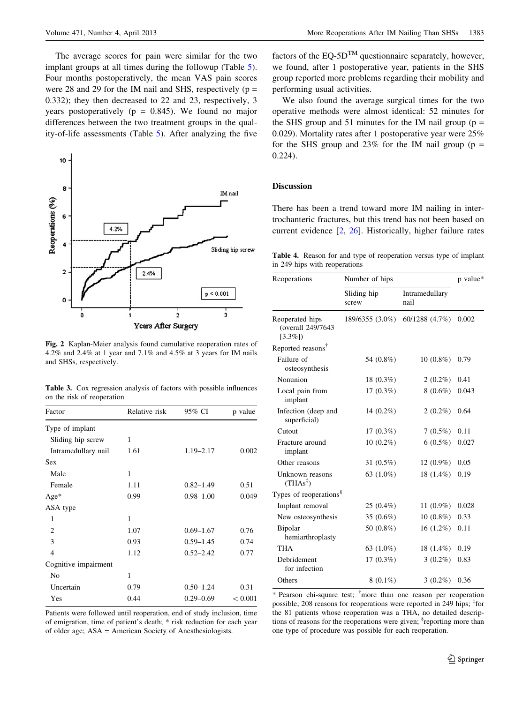<span id="page-4-0"></span>The average scores for pain were similar for the two implant groups at all times during the followup (Table [5](#page-5-0)). Four months postoperatively, the mean VAS pain scores were 28 and 29 for the IM nail and SHS, respectively ( $p =$ 0.332); they then decreased to 22 and 23, respectively, 3 years postoperatively ( $p = 0.845$ ). We found no major differences between the two treatment groups in the quality-of-life assessments (Table [5\)](#page-5-0). After analyzing the five



Fig. 2 Kaplan-Meier analysis found cumulative reoperation rates of 4.2% and 2.4% at 1 year and 7.1% and 4.5% at 3 years for IM nails and SHSs, respectively.

Table 3. Cox regression analysis of factors with possible influences on the risk of reoperation

| Factor               | Relative risk | 95% CI        | p value |
|----------------------|---------------|---------------|---------|
| Type of implant      |               |               |         |
| Sliding hip screw    | 1             |               |         |
| Intramedullary nail  | 1.61          | $1.19 - 2.17$ | 0.002   |
| <b>Sex</b>           |               |               |         |
| Male                 | 1             |               |         |
| Female               | 1.11          | $0.82 - 1.49$ | 0.51    |
| $Age*$               | 0.99          | $0.98 - 1.00$ | 0.049   |
| ASA type             |               |               |         |
| 1                    | 1             |               |         |
| $\overline{2}$       | 1.07          | $0.69 - 1.67$ | 0.76    |
| 3                    | 0.93          | $0.59 - 1.45$ | 0.74    |
| $\overline{4}$       | 1.12          | $0.52 - 2.42$ | 0.77    |
| Cognitive impairment |               |               |         |
| No                   | 1             |               |         |
| Uncertain            | 0.79          | $0.50 - 1.24$ | 0.31    |
| Yes                  | 0.44          | $0.29 - 0.69$ | < 0.001 |

Patients were followed until reoperation, end of study inclusion, time of emigration, time of patient's death; \* risk reduction for each year of older age; ASA = American Society of Anesthesiologists.

factors of the  $EO-5D^{TM}$  questionnaire separately, however, we found, after 1 postoperative year, patients in the SHS group reported more problems regarding their mobility and performing usual activities.

We also found the average surgical times for the two operative methods were almost identical: 52 minutes for the SHS group and 51 minutes for the IM nail group ( $p =$ 0.029). Mortality rates after 1 postoperative year were 25% for the SHS group and  $23\%$  for the IM nail group (p = 0.224).

# Discussion

There has been a trend toward more IM nailing in intertrochanteric fractures, but this trend has not been based on current evidence [\[2](#page-6-0), [26\]](#page-7-0). Historically, higher failure rates

Table 4. Reason for and type of reoperation versus type of implant in 249 hips with reoperations

| Reoperations                                      | Number of hips       | p value*               |       |
|---------------------------------------------------|----------------------|------------------------|-------|
|                                                   | Sliding hip<br>screw | Intramedullary<br>nail |       |
| Reoperated hips<br>(overall 249/7643<br>$[3.3\%]$ | 189/6355 (3.0%)      | 60/1288 (4.7%)         | 0.002 |
| Reported reasons <sup>†</sup>                     |                      |                        |       |
| Failure of<br>osteosynthesis                      | 54 (0.8%)            | $10(0.8\%)$            | 0.79  |
| Nonunion                                          | 18 $(0.3\%)$         | $2(0.2\%)$             | 0.41  |
| Local pain from<br>implant                        | 17 $(0.3\%)$         | $8(0.6\%)$             | 0.043 |
| Infection (deep and<br>superficial)               | 14 (0.2%)            | $2(0.2\%)$             | 0.64  |
| Cutout                                            | $17(0.3\%)$          | $7(0.5\%)$             | 0.11  |
| Fracture around<br>implant                        | $10(0.2\%)$          | $6(0.5\%)$             | 0.027 |
| Other reasons                                     | 31 (0.5%)            | $12(0.9\%)$            | 0.05  |
| Unknown reasons<br>$(THAs^{\ddagger})$            | 63 $(1.0\%)$         | 18 $(1.4\%)$           | 0.19  |
| Types of reoperations <sup>§</sup>                |                      |                        |       |
| Implant removal                                   | $25(0.4\%)$          | 11 $(0.9\%)$           | 0.028 |
| New osteosynthesis                                | 35 $(0.6\%)$         | $10(0.8\%)$            | 0.33  |
| Bipolar<br>hemiarthroplasty                       | 50 (0.8%)            | $16(1.2\%)$            | 0.11  |
| THA                                               | 63 $(1.0\%)$         | 18 $(1.4\%)$           | 0.19  |
| Debridement<br>for infection                      | $17(0.3\%)$          | $3(0.2\%)$             | 0.83  |
| Others                                            | $8(0.1\%)$           | $3(0.2\%)$             | 0.36  |

\* Pearson chi-square test; <sup>†</sup>more than one reason per reoperation possible; 208 reasons for reoperations were reported in 249 hips; <sup>‡</sup>for the 81 patients whose reoperation was a THA, no detailed descriptions of reasons for the reoperations were given; <sup>§</sup>reporting more than one type of procedure was possible for each reoperation.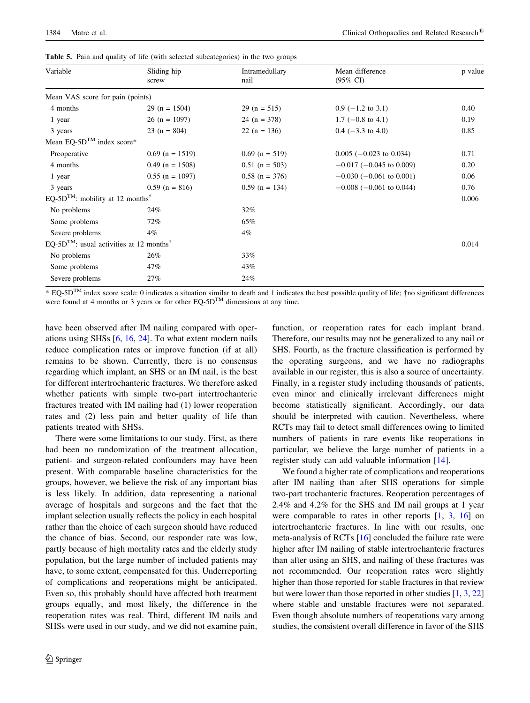| Variable                                                         | Sliding hip<br>screw | Intramedullary<br>nail | Mean difference<br>$(95\% \text{ CI})$ | p value |
|------------------------------------------------------------------|----------------------|------------------------|----------------------------------------|---------|
| Mean VAS score for pain (points)                                 |                      |                        |                                        |         |
| 4 months                                                         | $29(n = 1504)$       | $29 (n = 515)$         | $0.9$ (-1.2 to 3.1)                    | 0.40    |
| 1 year                                                           | $26 (n = 1097)$      | $24 (n = 378)$         | $1.7$ (-0.8 to 4.1)                    | 0.19    |
| 3 years                                                          | $23(n = 804)$        | $22 (n = 136)$         | $0.4$ (-3.3 to 4.0)                    | 0.85    |
| Mean EQ-5D <sup>TM</sup> index score*                            |                      |                        |                                        |         |
| Preoperative                                                     | $0.69$ (n = 1519)    | $0.69$ (n = 519)       | $0.005$ (-0.023 to 0.034)              | 0.71    |
| 4 months                                                         | $0.49$ (n = 1508)    | $0.51$ (n = 503)       | $-0.017$ ( $-0.045$ to 0.009)          | 0.20    |
| 1 year                                                           | $0.55$ (n = 1097)    | $0.58$ (n = 376)       | $-0.030$ ( $-0.061$ to 0.001)          | 0.06    |
| 3 years                                                          | $0.59$ (n = 816)     | $0.59$ (n = 134)       | $-0.008$ ( $-0.061$ to 0.044)          | 0.76    |
| EQ-5D <sup>TM</sup> : mobility at 12 months <sup>†</sup>         |                      |                        | 0.006                                  |         |
| No problems                                                      | 24%                  | $32\%$                 |                                        |         |
| Some problems                                                    | 72%                  | 65%                    |                                        |         |
| Severe problems                                                  | $4\%$                | 4%                     |                                        |         |
| EQ-5D <sup>TM</sup> : usual activities at 12 months <sup>†</sup> |                      |                        |                                        | 0.014   |
| No problems                                                      | 26%                  | 33%                    |                                        |         |
| Some problems                                                    | 47%                  | 43%                    |                                        |         |
| Severe problems                                                  | 27%                  | 24%                    |                                        |         |
|                                                                  |                      |                        |                                        |         |

<span id="page-5-0"></span>Table 5. Pain and quality of life (with selected subcategories) in the two groups

 $*$  EQ-5D<sup>TM</sup> index score scale: 0 indicates a situation similar to death and 1 indicates the best possible quality of life;  $\dagger$ no significant differences were found at 4 months or 3 years or for other  $EQ-5D^{TM}$  dimensions at any time.

have been observed after IM nailing compared with operations using SHSs [[6,](#page-7-0) [16](#page-7-0), [24](#page-7-0)]. To what extent modern nails reduce complication rates or improve function (if at all) remains to be shown. Currently, there is no consensus regarding which implant, an SHS or an IM nail, is the best for different intertrochanteric fractures. We therefore asked whether patients with simple two-part intertrochanteric fractures treated with IM nailing had (1) lower reoperation rates and (2) less pain and better quality of life than patients treated with SHSs.

There were some limitations to our study. First, as there had been no randomization of the treatment allocation, patient- and surgeon-related confounders may have been present. With comparable baseline characteristics for the groups, however, we believe the risk of any important bias is less likely. In addition, data representing a national average of hospitals and surgeons and the fact that the implant selection usually reflects the policy in each hospital rather than the choice of each surgeon should have reduced the chance of bias. Second, our responder rate was low, partly because of high mortality rates and the elderly study population, but the large number of included patients may have, to some extent, compensated for this. Underreporting of complications and reoperations might be anticipated. Even so, this probably should have affected both treatment groups equally, and most likely, the difference in the reoperation rates was real. Third, different IM nails and SHSs were used in our study, and we did not examine pain,

function, or reoperation rates for each implant brand. Therefore, our results may not be generalized to any nail or SHS. Fourth, as the fracture classification is performed by the operating surgeons, and we have no radiographs available in our register, this is also a source of uncertainty. Finally, in a register study including thousands of patients, even minor and clinically irrelevant differences might become statistically significant. Accordingly, our data should be interpreted with caution. Nevertheless, where RCTs may fail to detect small differences owing to limited numbers of patients in rare events like reoperations in particular, we believe the large number of patients in a register study can add valuable information [[14\]](#page-7-0).

We found a higher rate of complications and reoperations after IM nailing than after SHS operations for simple two-part trochanteric fractures. Reoperation percentages of 2.4% and 4.2% for the SHS and IM nail groups at 1 year were comparable to rates in other reports  $[1, 3, 16]$  $[1, 3, 16]$  $[1, 3, 16]$  $[1, 3, 16]$  $[1, 3, 16]$  $[1, 3, 16]$  $[1, 3, 16]$  on intertrochanteric fractures. In line with our results, one meta-analysis of RCTs [[16\]](#page-7-0) concluded the failure rate were higher after IM nailing of stable intertrochanteric fractures than after using an SHS, and nailing of these fractures was not recommended. Our reoperation rates were slightly higher than those reported for stable fractures in that review but were lower than those reported in other studies [[1,](#page-6-0) [3](#page-7-0), [22\]](#page-7-0) where stable and unstable fractures were not separated. Even though absolute numbers of reoperations vary among studies, the consistent overall difference in favor of the SHS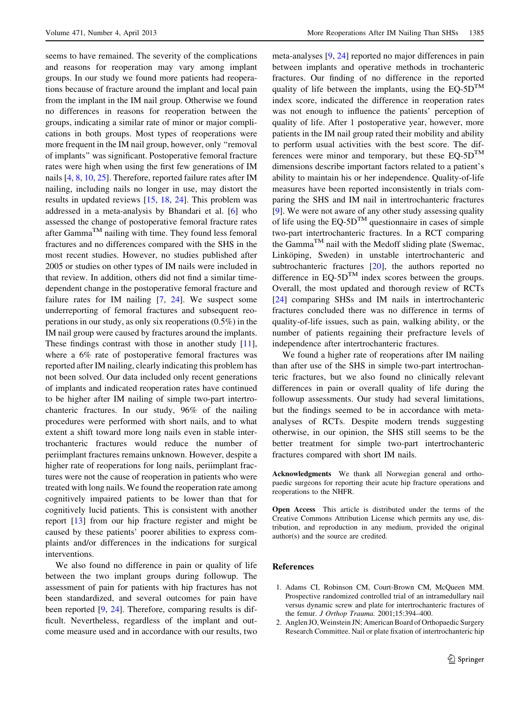<span id="page-6-0"></span>seems to have remained. The severity of the complications and reasons for reoperation may vary among implant groups. In our study we found more patients had reoperations because of fracture around the implant and local pain from the implant in the IM nail group. Otherwise we found no differences in reasons for reoperation between the groups, indicating a similar rate of minor or major complications in both groups. Most types of reoperations were more frequent in the IM nail group, however, only ''removal of implants'' was significant. Postoperative femoral fracture rates were high when using the first few generations of IM nails [\[4](#page-7-0), [8](#page-7-0), [10,](#page-7-0) [25](#page-7-0)]. Therefore, reported failure rates after IM nailing, including nails no longer in use, may distort the results in updated reviews [[15,](#page-7-0) [18,](#page-7-0) [24](#page-7-0)]. This problem was addressed in a meta-analysis by Bhandari et al. [\[6](#page-7-0)] who assessed the change of postoperative femoral fracture rates after  $Gamma<sup>TM</sup>$  nailing with time. They found less femoral fractures and no differences compared with the SHS in the most recent studies. However, no studies published after 2005 or studies on other types of IM nails were included in that review. In addition, others did not find a similar timedependent change in the postoperative femoral fracture and failure rates for IM nailing  $[7, 24]$  $[7, 24]$  $[7, 24]$  $[7, 24]$ . We suspect some underreporting of femoral fractures and subsequent reoperations in our study, as only six reoperations (0.5%) in the IM nail group were caused by fractures around the implants. These findings contrast with those in another study [\[11](#page-7-0)], where a 6% rate of postoperative femoral fractures was reported after IM nailing, clearly indicating this problem has not been solved. Our data included only recent generations of implants and indicated reoperation rates have continued to be higher after IM nailing of simple two-part intertrochanteric fractures. In our study, 96% of the nailing procedures were performed with short nails, and to what extent a shift toward more long nails even in stable intertrochanteric fractures would reduce the number of periimplant fractures remains unknown. However, despite a higher rate of reoperations for long nails, periimplant fractures were not the cause of reoperation in patients who were treated with long nails. We found the reoperation rate among cognitively impaired patients to be lower than that for cognitively lucid patients. This is consistent with another report [\[13](#page-7-0)] from our hip fracture register and might be caused by these patients' poorer abilities to express complaints and/or differences in the indications for surgical interventions.

We also found no difference in pain or quality of life between the two implant groups during followup. The assessment of pain for patients with hip fractures has not been standardized, and several outcomes for pain have been reported [\[9](#page-7-0), [24](#page-7-0)]. Therefore, comparing results is difficult. Nevertheless, regardless of the implant and outcome measure used and in accordance with our results, two meta-analyses [[9,](#page-7-0) [24\]](#page-7-0) reported no major differences in pain between implants and operative methods in trochanteric fractures. Our finding of no difference in the reported quality of life between the implants, using the EQ-5D<sup>TM</sup> index score, indicated the difference in reoperation rates was not enough to influence the patients' perception of quality of life. After 1 postoperative year, however, more patients in the IM nail group rated their mobility and ability to perform usual activities with the best score. The differences were minor and temporary, but these  $EO-5D^{TM}$ dimensions describe important factors related to a patient's ability to maintain his or her independence. Quality-of-life measures have been reported inconsistently in trials comparing the SHS and IM nail in intertrochanteric fractures [\[9](#page-7-0)]. We were not aware of any other study assessing quality of life using the  $EQ-5D^{TM}$  questionnaire in cases of simple two-part intertrochanteric fractures. In a RCT comparing the Gamma<sup>TM</sup> nail with the Medoff sliding plate (Swemac, Linköping, Sweden) in unstable intertrochanteric and subtrochanteric fractures [[20\]](#page-7-0), the authors reported no difference in EQ-5D<sup>TM</sup> index scores between the groups. Overall, the most updated and thorough review of RCTs [\[24](#page-7-0)] comparing SHSs and IM nails in intertrochanteric fractures concluded there was no difference in terms of quality-of-life issues, such as pain, walking ability, or the number of patients regaining their prefracture levels of independence after intertrochanteric fractures.

We found a higher rate of reoperations after IM nailing than after use of the SHS in simple two-part intertrochanteric fractures, but we also found no clinically relevant differences in pain or overall quality of life during the followup assessments. Our study had several limitations, but the findings seemed to be in accordance with metaanalyses of RCTs. Despite modern trends suggesting otherwise, in our opinion, the SHS still seems to be the better treatment for simple two-part intertrochanteric fractures compared with short IM nails.

Acknowledgments We thank all Norwegian general and orthopaedic surgeons for reporting their acute hip fracture operations and reoperations to the NHFR.

Open Access This article is distributed under the terms of the Creative Commons Attribution License which permits any use, distribution, and reproduction in any medium, provided the original author(s) and the source are credited.

# References

- 1. Adams CI, Robinson CM, Court-Brown CM, McQueen MM. Prospective randomized controlled trial of an intramedullary nail versus dynamic screw and plate for intertrochanteric fractures of the femur. J Orthop Trauma. 2001;15:394–400.
- 2. Anglen JO, Weinstein JN; American Board of Orthopaedic Surgery Research Committee. Nail or plate fixation of intertrochanteric hip